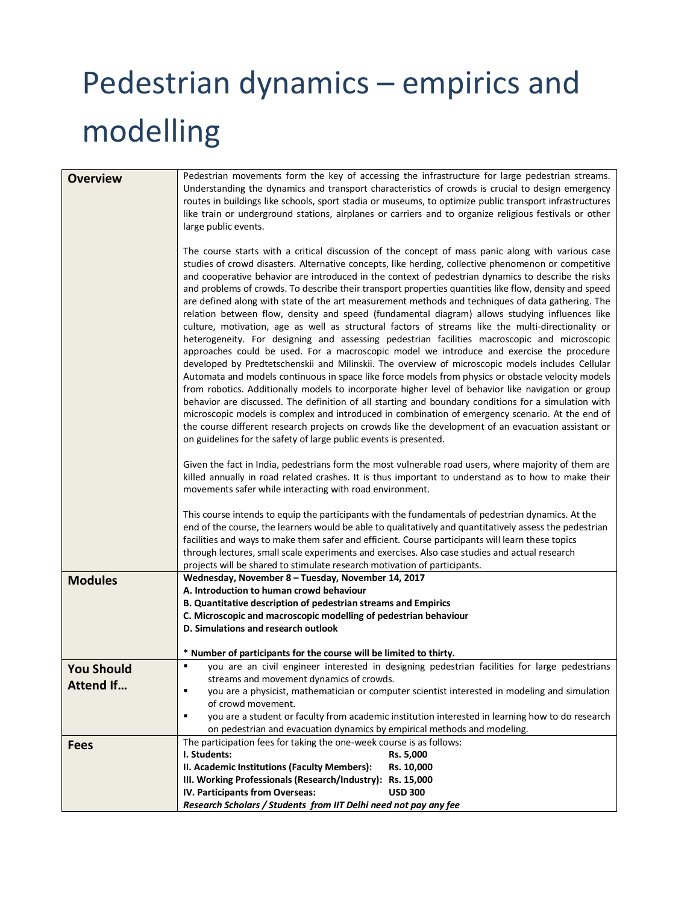# Pedestrian dynamics – empirics and modelling

| <b>Overview</b>   | Pedestrian movements form the key of accessing the infrastructure for large pedestrian streams.<br>Understanding the dynamics and transport characteristics of crowds is crucial to design emergency<br>routes in buildings like schools, sport stadia or museums, to optimize public transport infrastructures<br>like train or underground stations, airplanes or carriers and to organize religious festivals or other<br>large public events.<br>The course starts with a critical discussion of the concept of mass panic along with various case<br>studies of crowd disasters. Alternative concepts, like herding, collective phenomenon or competitive<br>and cooperative behavior are introduced in the context of pedestrian dynamics to describe the risks<br>and problems of crowds. To describe their transport properties quantities like flow, density and speed<br>are defined along with state of the art measurement methods and techniques of data gathering. The<br>relation between flow, density and speed (fundamental diagram) allows studying influences like<br>culture, motivation, age as well as structural factors of streams like the multi-directionality or<br>heterogeneity. For designing and assessing pedestrian facilities macroscopic and microscopic<br>approaches could be used. For a macroscopic model we introduce and exercise the procedure<br>developed by Predtetschenskii and Milinskii. The overview of microscopic models includes Cellular<br>Automata and models continuous in space like force models from physics or obstacle velocity models<br>from robotics. Additionally models to incorporate higher level of behavior like navigation or group<br>behavior are discussed. The definition of all starting and boundary conditions for a simulation with<br>microscopic models is complex and introduced in combination of emergency scenario. At the end of<br>the course different research projects on crowds like the development of an evacuation assistant or<br>on guidelines for the safety of large public events is presented.<br>Given the fact in India, pedestrians form the most vulnerable road users, where majority of them are<br>killed annually in road related crashes. It is thus important to understand as to how to make their<br>movements safer while interacting with road environment. |  |  |
|-------------------|--------------------------------------------------------------------------------------------------------------------------------------------------------------------------------------------------------------------------------------------------------------------------------------------------------------------------------------------------------------------------------------------------------------------------------------------------------------------------------------------------------------------------------------------------------------------------------------------------------------------------------------------------------------------------------------------------------------------------------------------------------------------------------------------------------------------------------------------------------------------------------------------------------------------------------------------------------------------------------------------------------------------------------------------------------------------------------------------------------------------------------------------------------------------------------------------------------------------------------------------------------------------------------------------------------------------------------------------------------------------------------------------------------------------------------------------------------------------------------------------------------------------------------------------------------------------------------------------------------------------------------------------------------------------------------------------------------------------------------------------------------------------------------------------------------------------------------------------------------------------------------------------------------------------------------------------------------------------------------------------------------------------------------------------------------------------------------------------------------------------------------------------------------------------------------------------------------------------------------------------------------------------------------------------------------------------------------------------------------------------------------|--|--|
|                   | This course intends to equip the participants with the fundamentals of pedestrian dynamics. At the<br>end of the course, the learners would be able to qualitatively and quantitatively assess the pedestrian<br>facilities and ways to make them safer and efficient. Course participants will learn these topics<br>through lectures, small scale experiments and exercises. Also case studies and actual research                                                                                                                                                                                                                                                                                                                                                                                                                                                                                                                                                                                                                                                                                                                                                                                                                                                                                                                                                                                                                                                                                                                                                                                                                                                                                                                                                                                                                                                                                                                                                                                                                                                                                                                                                                                                                                                                                                                                                           |  |  |
|                   | projects will be shared to stimulate research motivation of participants.                                                                                                                                                                                                                                                                                                                                                                                                                                                                                                                                                                                                                                                                                                                                                                                                                                                                                                                                                                                                                                                                                                                                                                                                                                                                                                                                                                                                                                                                                                                                                                                                                                                                                                                                                                                                                                                                                                                                                                                                                                                                                                                                                                                                                                                                                                      |  |  |
| <b>Modules</b>    | Wednesday, November 8 - Tuesday, November 14, 2017                                                                                                                                                                                                                                                                                                                                                                                                                                                                                                                                                                                                                                                                                                                                                                                                                                                                                                                                                                                                                                                                                                                                                                                                                                                                                                                                                                                                                                                                                                                                                                                                                                                                                                                                                                                                                                                                                                                                                                                                                                                                                                                                                                                                                                                                                                                             |  |  |
|                   | A. Introduction to human crowd behaviour                                                                                                                                                                                                                                                                                                                                                                                                                                                                                                                                                                                                                                                                                                                                                                                                                                                                                                                                                                                                                                                                                                                                                                                                                                                                                                                                                                                                                                                                                                                                                                                                                                                                                                                                                                                                                                                                                                                                                                                                                                                                                                                                                                                                                                                                                                                                       |  |  |
|                   | B. Quantitative description of pedestrian streams and Empirics                                                                                                                                                                                                                                                                                                                                                                                                                                                                                                                                                                                                                                                                                                                                                                                                                                                                                                                                                                                                                                                                                                                                                                                                                                                                                                                                                                                                                                                                                                                                                                                                                                                                                                                                                                                                                                                                                                                                                                                                                                                                                                                                                                                                                                                                                                                 |  |  |
|                   | C. Microscopic and macroscopic modelling of pedestrian behaviour<br>D. Simulations and research outlook                                                                                                                                                                                                                                                                                                                                                                                                                                                                                                                                                                                                                                                                                                                                                                                                                                                                                                                                                                                                                                                                                                                                                                                                                                                                                                                                                                                                                                                                                                                                                                                                                                                                                                                                                                                                                                                                                                                                                                                                                                                                                                                                                                                                                                                                        |  |  |
|                   |                                                                                                                                                                                                                                                                                                                                                                                                                                                                                                                                                                                                                                                                                                                                                                                                                                                                                                                                                                                                                                                                                                                                                                                                                                                                                                                                                                                                                                                                                                                                                                                                                                                                                                                                                                                                                                                                                                                                                                                                                                                                                                                                                                                                                                                                                                                                                                                |  |  |
|                   | * Number of participants for the course will be limited to thirty.                                                                                                                                                                                                                                                                                                                                                                                                                                                                                                                                                                                                                                                                                                                                                                                                                                                                                                                                                                                                                                                                                                                                                                                                                                                                                                                                                                                                                                                                                                                                                                                                                                                                                                                                                                                                                                                                                                                                                                                                                                                                                                                                                                                                                                                                                                             |  |  |
| <b>You Should</b> | you are an civil engineer interested in designing pedestrian facilities for large pedestrians<br>٠                                                                                                                                                                                                                                                                                                                                                                                                                                                                                                                                                                                                                                                                                                                                                                                                                                                                                                                                                                                                                                                                                                                                                                                                                                                                                                                                                                                                                                                                                                                                                                                                                                                                                                                                                                                                                                                                                                                                                                                                                                                                                                                                                                                                                                                                             |  |  |
|                   | streams and movement dynamics of crowds.                                                                                                                                                                                                                                                                                                                                                                                                                                                                                                                                                                                                                                                                                                                                                                                                                                                                                                                                                                                                                                                                                                                                                                                                                                                                                                                                                                                                                                                                                                                                                                                                                                                                                                                                                                                                                                                                                                                                                                                                                                                                                                                                                                                                                                                                                                                                       |  |  |
| <b>Attend If</b>  | you are a physicist, mathematician or computer scientist interested in modeling and simulation<br>٠                                                                                                                                                                                                                                                                                                                                                                                                                                                                                                                                                                                                                                                                                                                                                                                                                                                                                                                                                                                                                                                                                                                                                                                                                                                                                                                                                                                                                                                                                                                                                                                                                                                                                                                                                                                                                                                                                                                                                                                                                                                                                                                                                                                                                                                                            |  |  |
|                   | of crowd movement.                                                                                                                                                                                                                                                                                                                                                                                                                                                                                                                                                                                                                                                                                                                                                                                                                                                                                                                                                                                                                                                                                                                                                                                                                                                                                                                                                                                                                                                                                                                                                                                                                                                                                                                                                                                                                                                                                                                                                                                                                                                                                                                                                                                                                                                                                                                                                             |  |  |
|                   | ٠<br>you are a student or faculty from academic institution interested in learning how to do research                                                                                                                                                                                                                                                                                                                                                                                                                                                                                                                                                                                                                                                                                                                                                                                                                                                                                                                                                                                                                                                                                                                                                                                                                                                                                                                                                                                                                                                                                                                                                                                                                                                                                                                                                                                                                                                                                                                                                                                                                                                                                                                                                                                                                                                                          |  |  |
|                   | on pedestrian and evacuation dynamics by empirical methods and modeling.                                                                                                                                                                                                                                                                                                                                                                                                                                                                                                                                                                                                                                                                                                                                                                                                                                                                                                                                                                                                                                                                                                                                                                                                                                                                                                                                                                                                                                                                                                                                                                                                                                                                                                                                                                                                                                                                                                                                                                                                                                                                                                                                                                                                                                                                                                       |  |  |
| <b>Fees</b>       | The participation fees for taking the one-week course is as follows:                                                                                                                                                                                                                                                                                                                                                                                                                                                                                                                                                                                                                                                                                                                                                                                                                                                                                                                                                                                                                                                                                                                                                                                                                                                                                                                                                                                                                                                                                                                                                                                                                                                                                                                                                                                                                                                                                                                                                                                                                                                                                                                                                                                                                                                                                                           |  |  |
|                   | I. Students:<br>Rs. 5,000                                                                                                                                                                                                                                                                                                                                                                                                                                                                                                                                                                                                                                                                                                                                                                                                                                                                                                                                                                                                                                                                                                                                                                                                                                                                                                                                                                                                                                                                                                                                                                                                                                                                                                                                                                                                                                                                                                                                                                                                                                                                                                                                                                                                                                                                                                                                                      |  |  |
|                   | II. Academic Institutions (Faculty Members):<br>Rs. 10,000                                                                                                                                                                                                                                                                                                                                                                                                                                                                                                                                                                                                                                                                                                                                                                                                                                                                                                                                                                                                                                                                                                                                                                                                                                                                                                                                                                                                                                                                                                                                                                                                                                                                                                                                                                                                                                                                                                                                                                                                                                                                                                                                                                                                                                                                                                                     |  |  |
|                   | III. Working Professionals (Research/Industry): Rs. 15,000                                                                                                                                                                                                                                                                                                                                                                                                                                                                                                                                                                                                                                                                                                                                                                                                                                                                                                                                                                                                                                                                                                                                                                                                                                                                                                                                                                                                                                                                                                                                                                                                                                                                                                                                                                                                                                                                                                                                                                                                                                                                                                                                                                                                                                                                                                                     |  |  |
|                   | IV. Participants from Overseas:<br><b>USD 300</b>                                                                                                                                                                                                                                                                                                                                                                                                                                                                                                                                                                                                                                                                                                                                                                                                                                                                                                                                                                                                                                                                                                                                                                                                                                                                                                                                                                                                                                                                                                                                                                                                                                                                                                                                                                                                                                                                                                                                                                                                                                                                                                                                                                                                                                                                                                                              |  |  |
|                   | Research Scholars / Students from IIT Delhi need not pay any fee                                                                                                                                                                                                                                                                                                                                                                                                                                                                                                                                                                                                                                                                                                                                                                                                                                                                                                                                                                                                                                                                                                                                                                                                                                                                                                                                                                                                                                                                                                                                                                                                                                                                                                                                                                                                                                                                                                                                                                                                                                                                                                                                                                                                                                                                                                               |  |  |